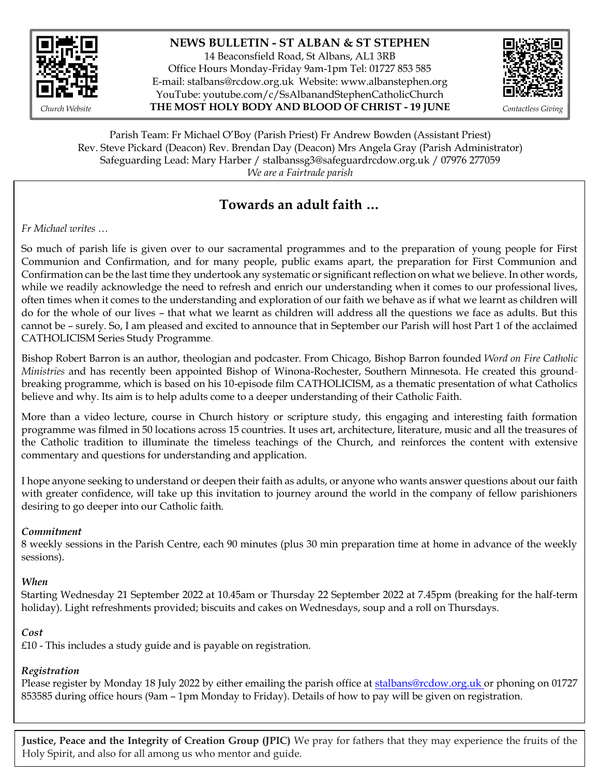

### **NEWS BULLETIN - ST ALBAN & ST STEPHEN**

14 Beaconsfield Road, St Albans, AL1 3RB Office Hours Monday-Friday 9am-1pm Tel: 01727 853 585 E-mail: [stalbans@rcdow.org.uk](mailto:stalbans@rcdow.org.uk) Website: www.albanstephen.org YouTube: youtube.com/c/SsAlbanandStephenCatholicChurch *Church Website* **THE MOST HOLY BODY AND BLOOD OF CHRIST - 19 JUNE** *Contactless Giving*



Parish Team: Fr Michael O'Boy (Parish Priest) Fr Andrew Bowden (Assistant Priest) Rev. Steve Pickard (Deacon) Rev. Brendan Day (Deacon) Mrs Angela Gray (Parish Administrator) Safeguarding Lead: Mary Harber / stalbanssg3@safeguardrcdow.org.uk / 07976 277059 *We are a Fairtrade parish*

# $T$ owards an adult faith …

*Fr Michael writes …*

So much of parish life is given over to our sacramental programmes and to the preparation of young people for First Communion and Confirmation, and for many people, public exams apart, the preparation for First Communion and Confirmation can be the last time they undertook any systematic or significant reflection on what we believe. In other words, while we readily acknowledge the need to refresh and enrich our understanding when it comes to our professional lives, often times when it comes to the understanding and exploration of our faith we behave as if what we learnt as children will do for the whole of our lives – that what we learnt as children will address all the questions we face as adults. But this cannot be – surely. So, I am pleased and excited to announce that in September our Parish will host Part 1 of the acclaimed CATHOLICISM Series Study Programme.

Bishop Robert Barron is an author, theologian and podcaster. From Chicago, Bishop Barron founded *Word on Fire Catholic Ministries* and has recently been appointed Bishop of [Winona-Rochester,](https://en.wikipedia.org/wiki/Diocese_of_Winona-Rochester) Southern Minnesota. He created this groundbreaking programme, which is based on his 10-episode film CATHOLICISM, as a thematic presentation of what Catholics believe and why. Its aim is to help adults come to a deeper understanding of their Catholic Faith.

More than a video lecture, course in Church history or scripture study, this engaging and interesting faith formation programme was filmed in 50 locations across 15 countries. It uses art, architecture, literature, music and all the treasures of the Catholic tradition to illuminate the timeless teachings of the Church, and reinforces the content with extensive commentary and questions for understanding and application.

I hope anyone seeking to understand or deepen their faith as adults, or anyone who wants answer questions about our faith with greater confidence, will take up this invitation to journey around the world in the company of fellow parishioners desiring to go deeper into our Catholic faith.

### *Commitment*

8 weekly sessions in the Parish Centre, each 90 minutes (plus 30 min preparation time at home in advance of the weekly sessions).

*When*

Starting Wednesday 21 September 2022 at 10.45am or Thursday 22 September 2022 at 7.45pm (breaking for the half-term holiday). Light refreshments provided; biscuits and cakes on Wednesdays, soup and a roll on Thursdays.

### *Cost*

£10 - This includes a study guide and is payable on registration.

# *Registration*

Please register by Monday 18 July 2022 by either emailing the parish office at [stalbans@rcdow.org.uk](mailto:stalbans@rcdow.org.uk) or phoning on 01727 853585 during office hours (9am – 1pm Monday to Friday). Details of how to pay will be given on registration.

**Justice, Peace and the Integrity of Creation Group (JPIC)** We pray for fathers that they may experience the fruits of the Holy Spirit, and also for all among us who mentor and guide.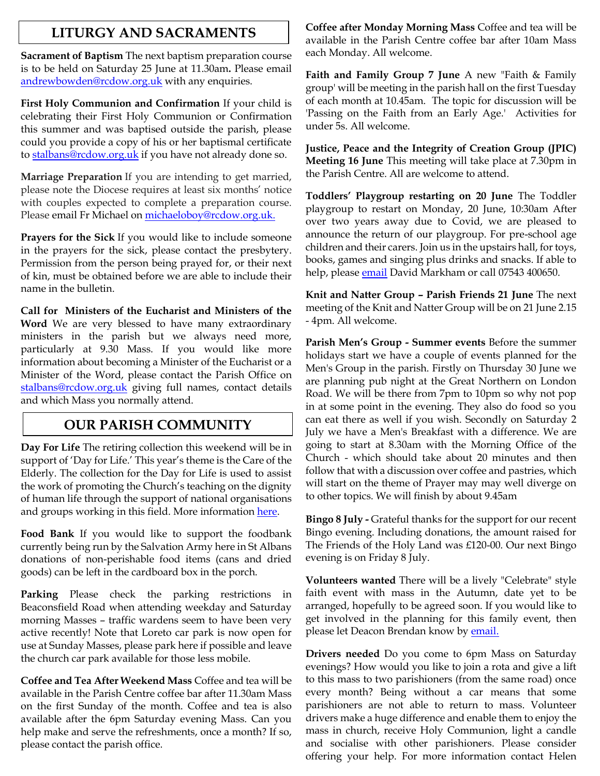# **LITURGY AND SACRAMENTS**

**Sacrament of Baptism** The next baptism preparation course is to be held on Saturday 25 June at 11.30am**.** Please email [andrewbowden@rcdow.org.uk](mailto:andrewbowden@rcdow.org.uk) with any enquiries.

**First Holy Communion and Confirmation** If your child is celebrating their First Holy Communion or Confirmation this summer and was baptised outside the parish, please could you provide a copy of his or her baptismal certificate to [stalbans@rcdow.org.uk](mailto:stalbans@rcdow.org.uk) if you have not already done so.

**Marriage Preparation** If you are intending to get married, please note the Diocese requires at least six months' notice with couples expected to complete a preparation course. Please email Fr Michael on [michaeloboy@rcdow.org.uk.](mailto:michaeloboy@rcdow.org.uk)

**Prayers for the Sick** If you would like to include someone in the prayers for the sick, please contact the presbytery. Permission from the person being prayed for, or their next of kin, must be obtained before we are able to include their name in the bulletin.

**Call for Ministers of the Eucharist and Ministers of the Word** We are very blessed to have many extraordinary ministers in the parish but we always need more, particularly at 9.30 Mass. If you would like more information about becoming a Minister of the Eucharist or a Minister of the Word, please contact the Parish Office on [stalbans@rcdow.org.uk](mailto:stalbans@rcdow.org.uk) giving full names, contact details and which Mass you normally attend.

# **OUR PARISH COMMUNITY**

**Day For Life** The retiring collection this weekend will be in support of 'Day for Life.' This year's theme is the Care of the Elderly. The collection for the Day for Life is used to assist the work of promoting the Church's teaching on the dignity of human life through the support of national organisations and groups working in this field. More information [here.](https://rcdow.org.uk/news/day-for-life-2022/)

**Food Bank** If you would like to support the foodbank currently being run by the Salvation Army here in St Albans donations of non-perishable food items (cans and dried goods) can be left in the cardboard box in the porch.

**Parking** Please check the parking restrictions in Beaconsfield Road when attending weekday and Saturday morning Masses – traffic wardens seem to have been very active recently! Note that Loreto car park is now open for use at Sunday Masses, please park here if possible and leave the church car park available for those less mobile.

**Coffee and Tea After Weekend Mass** Coffee and tea will be available in the Parish Centre coffee bar after 11.30am Mass on the first Sunday of the month. Coffee and tea is also available after the 6pm Saturday evening Mass. Can you help make and serve the refreshments, once a month? If so, please contact the parish office.

**Coffee after Monday Morning Mass** Coffee and tea will be available in the Parish Centre coffee bar after 10am Mass each Monday. All welcome.

**Faith and Family Group 7 June** A new "Faith & Family group' will be meeting in the parish hall on the first Tuesday of each month at 10.45am. The topic for discussion will be 'Passing on the Faith from an Early Age.' Activities for under 5s. All welcome.

**Justice, Peace and the Integrity of Creation Group (JPIC) Meeting 16 June** This meeting will take place at 7.30pm in the Parish Centre. All are welcome to attend.

**Toddlers' Playgroup restarting on 20 June** The Toddler playgroup to restart on Monday, 20 June, 10:30am After over two years away due to Covid, we are pleased to announce the return of our playgroup. For pre-school age children and their carers. Join us in the upstairs hall, for toys, books, games and singing plus drinks and snacks. If able to help, please <u>email</u> David Markham or call 07543 400650.

**Knit and Natter Group – Parish Friends 21 June** The next meeting of the Knit and Natter Group will be on 21 June 2.15 - 4pm. All welcome.

**Parish Men's Group - Summer events** Before the summer holidays start we have a couple of events planned for the Men's Group in the parish. Firstly on Thursday 30 June we are planning pub night at the Great Northern on London Road. We will be there from 7pm to 10pm so why not pop in at some point in the evening. They also do food so you can eat there as well if you wish. Secondly on Saturday 2 July we have a Men's Breakfast with a difference. We are going to start at 8.30am with the Morning Office of the Church - which should take about 20 minutes and then follow that with a discussion over coffee and pastries, which will start on the theme of Prayer may may well diverge on to other topics. We will finish by about 9.45am

**Bingo 8 July -** Grateful thanks for the support for our recent Bingo evening. Including donations, the amount raised for The Friends of the Holy Land was £120-00. Our next Bingo evening is on Friday 8 July.

**Volunteers wanted** There will be a lively "Celebrate" style faith event with mass in the Autumn, date yet to be arranged, hopefully to be agreed soon. If you would like to get involved in the planning for this family event, then please let Deacon Brendan know b[y email.](mailto:brendanday@rcdow.org.uk)

**Drivers needed** Do you come to 6pm Mass on Saturday evenings? How would you like to join a rota and give a lift to this mass to two parishioners (from the same road) once every month? Being without a car means that some parishioners are not able to return to mass. Volunteer drivers make a huge difference and enable them to enjoy the mass in church, receive Holy Communion, light a candle and socialise with other parishioners. Please consider offering your help. For more information contact Helen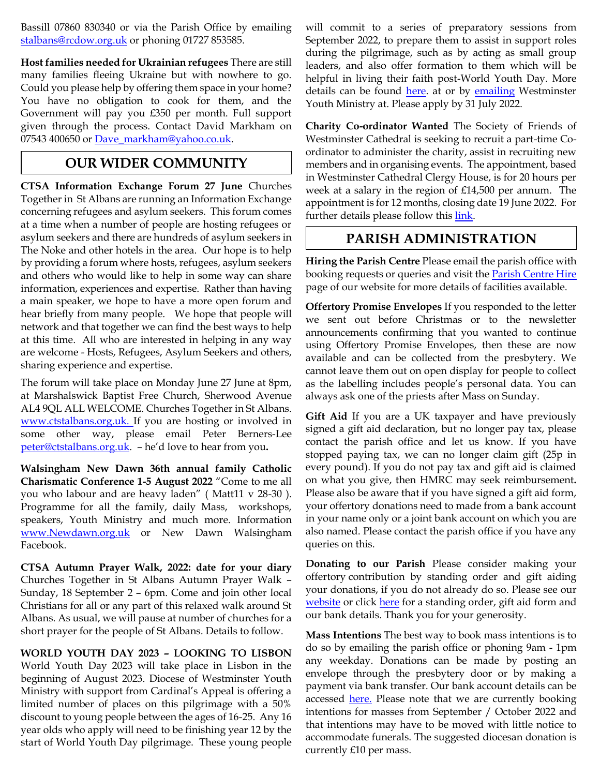Bassill 07860 830340 or via the Parish Office by emailing [stalbans@rcdow.org.uk](mailto:stalbans@rcdow.org.uk) or phoning 01727 853585.

**Host families needed for Ukrainian refugees** There are still many families fleeing Ukraine but with nowhere to go. Could you please help by offering them space in your home? You have no obligation to cook for them, and the Government will pay you £350 per month. Full support given through the process. Contact David Markham on 07543 400650 or [Dave\\_markham@yahoo.co.uk.](mailto:Dave_markham@yahoo.co.uk)

# **OUR WIDER COMMUNITY**

**CTSA Information Exchange Forum 27 June** Churches Together in St Albans are running an Information Exchange concerning refugees and asylum seekers. This forum comes at a time when a number of people are hosting refugees or asylum seekers and there are hundreds of asylum seekers in The Noke and other hotels in the area. Our hope is to help by providing a forum where hosts, refugees, asylum seekers and others who would like to help in some way can share information, experiences and expertise. Rather than having a main speaker, we hope to have a more open forum and hear briefly from many people. We hope that people will network and that together we can find the best ways to help at this time. All who are interested in helping in any way are welcome - Hosts, Refugees, Asylum Seekers and others, sharing experience and expertise.

The forum will take place on Monday June 27 June at 8pm, at Marshalswick Baptist Free Church, Sherwood Avenue AL4 9QL ALL WELCOME. Churches Together in St Albans. [www.ctstalbans.org.uk.](http://www.ctstalbans.org.uk/) If you are hosting or involved in some other way, please email Peter Berners-Lee [peter@ctstalbans.org.uk.](mailto:peter@ctstalbans.org.uk) – he'd love to hear from you**.**

**Walsingham New Dawn 36th annual family Catholic Charismatic Conference 1-5 August 2022** "Come to me all you who labour and are heavy laden" ( Matt11 v 28-30 ). Programme for all the family, daily Mass, workshops, speakers, Youth Ministry and much more. Information [www.Newdawn.org.uk](http://www.newdawn.org.uk/) or New Dawn Walsingham Facebook.

**CTSA Autumn Prayer Walk, 2022: date for your diary** Churches Together in St Albans Autumn Prayer Walk – Sunday, 18 September 2 – 6pm. Come and join other local Christians for all or any part of this relaxed walk around St Albans. As usual, we will pause at number of churches for a short prayer for the people of St Albans. Details to follow.

### **WORLD YOUTH DAY 2023 – LOOKING TO LISBON**

World Youth Day 2023 will take place in Lisbon in the beginning of August 2023. Diocese of Westminster Youth Ministry with support from Cardinal's Appeal is offering a limited number of places on this pilgrimage with a 50% discount to young people between the ages of 16-25. Any 16 year olds who apply will need to be finishing year 12 by the start of World Youth Day pilgrimage. These young people

will commit to a series of preparatory sessions from September 2022, to prepare them to assist in support roles during the pilgrimage, such as by acting as small group leaders, and also offer formation to them which will be helpful in living their faith post-World Youth Day. More details can be found [here.](https://dowym.com/programmes/world-youth-day-leadership-training/) at or by [emailing](mailto:youth@rcdow.org.uk) Westminster Youth Ministry at. Please apply by 31 July 2022.

**Charity Co-ordinator Wanted** The Society of Friends of Westminster Cathedral is seeking to recruit a part-time Coordinator to administer the charity, assist in recruiting new members and in organising events. The appointment, based in Westminster Cathedral Clergy House, is for 20 hours per week at a salary in the region of £14,500 per annum. The appointment is for 12 months, closing date 19 June 2022. For further details please follow this [link.](https://westminstercathedral.org.uk/the-friends-seek-an-organising-secretary/)

# **PARISH ADMINISTRATION**

**Hiring the Parish Centre** Please email the parish office with booking requests or queries and visit the **Parish Centre Hire** page of our website for more details of facilities available.

**Offertory Promise Envelopes** If you responded to the letter we sent out before Christmas or to the newsletter announcements confirming that you wanted to continue using Offertory Promise Envelopes, then these are now available and can be collected from the presbytery. We cannot leave them out on open display for people to collect as the labelling includes people's personal data. You can always ask one of the priests after Mass on Sunday.

**Gift Aid** If you are a UK taxpayer and have previously signed a gift aid declaration, but no longer pay tax, please contact the parish office and let us know. If you have stopped paying tax, we can no longer claim gift (25p in every pound). If you do not pay tax and gift aid is claimed on what you give, then HMRC may seek reimbursement**.**  Please also be aware that if you have signed a gift aid form, your offertory donations need to made from a bank account in your name only or a joint bank account on which you are also named. Please contact the parish office if you have any queries on this.

**Donating to our Parish** Please consider making your offertory contribution by standing order and gift aiding your donations, if you do not already do so. Please see our [website](http://www.albanstephen.org/) or click [here](https://www.albanstephen.org/donating-to-the-parish/) for a standing order, gift aid form and our bank details. Thank you for your generosity.

**Mass Intentions** The best way to book mass intentions is to do so by emailing the parish office or phoning 9am - 1pm any weekday. Donations can be made by posting an envelope through the presbytery door or by making a payment via bank transfer. Our bank account details can be accessed <u>here.</u> Please note that we are currently booking intentions for masses from September / October 2022 and that intentions may have to be moved with little notice to accommodate funerals. The suggested diocesan donation is currently £10 per mass.